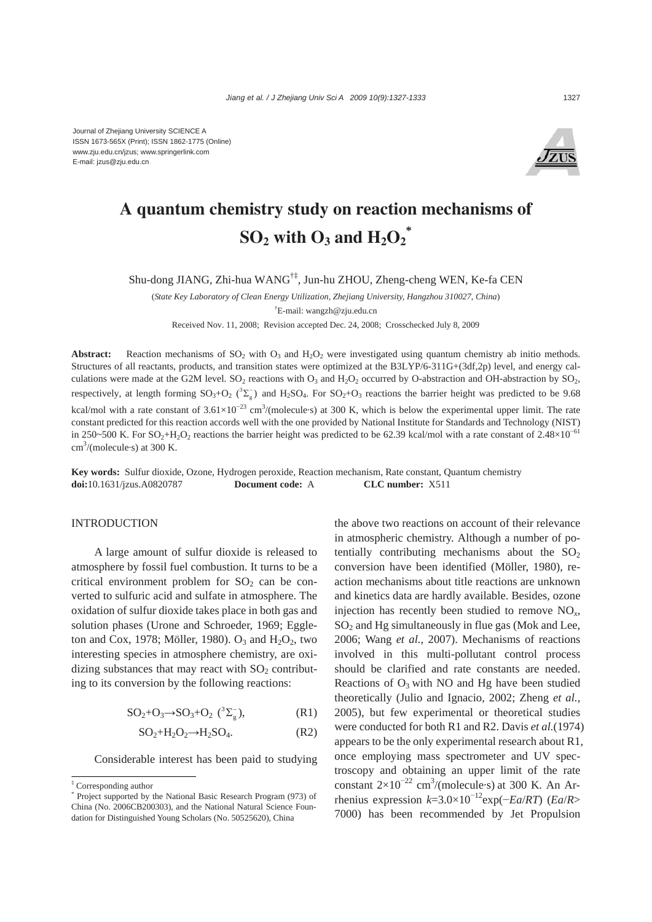

# **A quantum chemistry study on reaction mechanisms of**   $\mathbf{SO}_2$  with  $\mathbf{O}_3$  and  $\mathbf{H}_2\mathbf{O}_2^*$

Shu-dong JIANG, Zhi-hua WANG†‡, Jun-hu ZHOU, Zheng-cheng WEN, Ke-fa CEN

(*State Key Laboratory of Clean Energy Utilization, Zhejiang University, Hangzhou 310027, China*) † E-mail: wangzh@zju.edu.cn Received Nov. 11, 2008; Revision accepted Dec. 24, 2008; Crosschecked July 8, 2009

**Abstract:** Reaction mechanisms of  $SO_2$  with  $O_3$  and  $H_2O_2$  were investigated using quantum chemistry ab initio methods. Structures of all reactants, products, and transition states were optimized at the B3LYP/6-311G+(3df,2p) level, and energy calculations were made at the G2M level.  $SO_2$  reactions with  $O_3$  and  $H_2O_2$  occurred by O-abstraction and OH-abstraction by  $SO_2$ , respectively, at length forming  $SO_3+O_2$  ( ${}^3\Sigma_g^-$ ) and H<sub>2</sub>SO<sub>4</sub>. For  $SO_2+O_3$  reactions the barrier height was predicted to be 9.68 kcal/mol with a rate constant of  $3.61 \times 10^{-23}$  cm<sup>3</sup>/(molecule·s) at 300 K, which is below the experimental upper limit. The rate constant predicted for this reaction accords well with the one provided by National Institute for Standards and Technology (NIST) in 250~500 K. For SO<sub>2</sub>+H<sub>2</sub>O<sub>2</sub> reactions the barrier height was predicted to be 62.39 kcal/mol with a rate constant of 2.48×10<sup>-61</sup>  $\text{cm}^3/\text{(molecule·s)}$  at 300 K.

**Key words:** Sulfur dioxide, Ozone, Hydrogen peroxide, Reaction mechanism, Rate constant, Quantum chemistry **doi:**10.1631/jzus.A0820787 **Document code:** A **CLC number:** X511

### **INTRODUCTION**

A large amount of sulfur dioxide is released to atmosphere by fossil fuel combustion. It turns to be a critical environment problem for  $SO<sub>2</sub>$  can be converted to sulfuric acid and sulfate in atmosphere. The oxidation of sulfur dioxide takes place in both gas and solution phases (Urone and Schroeder, 1969; Eggleton and Cox, 1978; Möller, 1980).  $O_3$  and  $H_2O_2$ , two interesting species in atmosphere chemistry, are oxidizing substances that may react with  $SO<sub>2</sub>$  contributing to its conversion by the following reactions:

$$
SO_2+O_3 \rightarrow SO_3+O_2 \; (^3\Sigma_g^-), \qquad \qquad (R1)
$$

$$
SO_2 + H_2O_2 \longrightarrow H_2SO_4. \tag{R2}
$$

Considerable interest has been paid to studying

the above two reactions on account of their relevance in atmospheric chemistry. Although a number of potentially contributing mechanisms about the  $SO<sub>2</sub>$ conversion have been identified (Möller, 1980), reaction mechanisms about title reactions are unknown and kinetics data are hardly available. Besides, ozone injection has recently been studied to remove NO*x*,  $SO<sub>2</sub>$  and Hg simultaneously in flue gas (Mok and Lee, 2006; Wang *et al.*, 2007). Mechanisms of reactions involved in this multi-pollutant control process should be clarified and rate constants are needed. Reactions of  $O_3$  with NO and Hg have been studied theoretically (Julio and Ignacio, 2002; Zheng *et al.*, 2005), but few experimental or theoretical studies were conducted for both R1 and R2. Davis *et al.*(1974) appears to be the only experimental research about R1, once employing mass spectrometer and UV spectroscopy and obtaining an upper limit of the rate constant  $2\times10^{-22}$  cm<sup>3</sup>/(molecule·s) at 300 K. An Arrhenius expression  $k=3.0\times10^{-12}$ exp( $-Ea/RT$ ) (*Ea*/*R*> 7000) has been recommended by Jet Propulsion

<sup>‡</sup> Corresponding author

<sup>\*</sup> Project supported by the National Basic Research Program (973) of China (No. 2006CB200303), and the National Natural Science Foundation for Distinguished Young Scholars (No. 50525620), China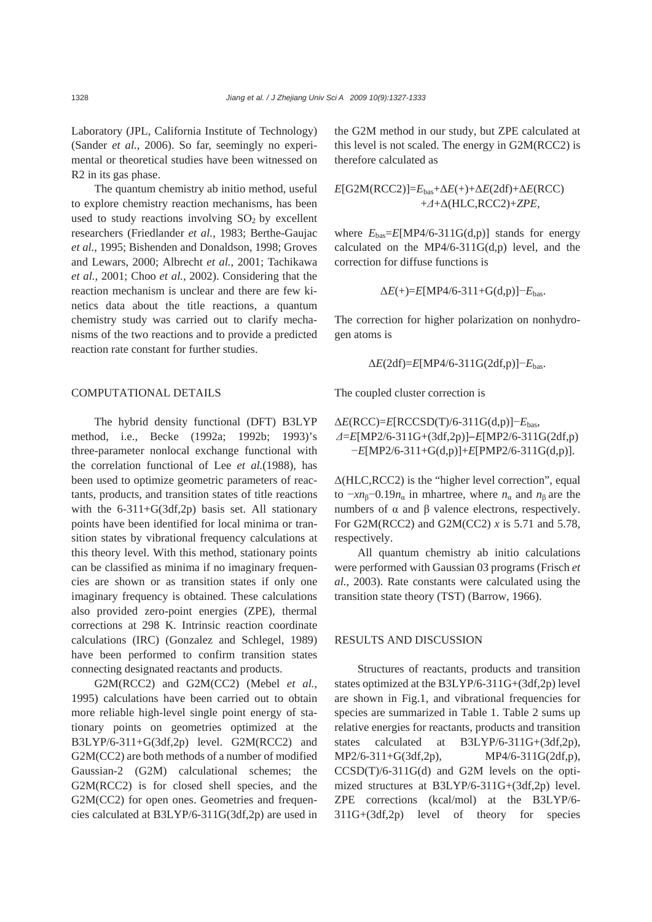Laboratory (JPL, California Institute of Technology) (Sander *et al.*, 2006). So far, seemingly no experimental or theoretical studies have been witnessed on R2 in its gas phase.

The quantum chemistry ab initio method, useful to explore chemistry reaction mechanisms, has been used to study reactions involving  $SO<sub>2</sub>$  by excellent researchers (Friedlander *et al.*, 1983; Berthe-Gaujac *et al.*, 1995; Bishenden and Donaldson, 1998; Groves and Lewars, 2000; Albrecht *et al.*, 2001; Tachikawa *et al.*, 2001; Choo *et al.*, 2002). Considering that the reaction mechanism is unclear and there are few kinetics data about the title reactions, a quantum chemistry study was carried out to clarify mechanisms of the two reactions and to provide a predicted reaction rate constant for further studies.

### COMPUTATIONAL DETAILS

The hybrid density functional (DFT) B3LYP method, i.e., Becke (1992a; 1992b; 1993)'s three-parameter nonlocal exchange functional with the correlation functional of Lee *et al.*(1988), has been used to optimize geometric parameters of reactants, products, and transition states of title reactions with the 6-311+G(3df,2p) basis set. All stationary points have been identified for local minima or transition states by vibrational frequency calculations at this theory level. With this method, stationary points can be classified as minima if no imaginary frequencies are shown or as transition states if only one imaginary frequency is obtained. These calculations also provided zero-point energies (ZPE), thermal corrections at 298 K. Intrinsic reaction coordinate calculations (IRC) (Gonzalez and Schlegel, 1989) have been performed to confirm transition states connecting designated reactants and products.

G2M(RCC2) and G2M(CC2) (Mebel *et al.*, 1995) calculations have been carried out to obtain more reliable high-level single point energy of stationary points on geometries optimized at the B3LYP/6-311+G(3df,2p) level. G2M(RCC2) and G2M(CC2) are both methods of a number of modified Gaussian-2 (G2M) calculational schemes; the G2M(RCC2) is for closed shell species, and the G2M(CC2) for open ones. Geometries and frequencies calculated at B3LYP/6-311G(3df,2p) are used in

the G2M method in our study, but ZPE calculated at this level is not scaled. The energy in G2M(RCC2) is therefore calculated as

 $E[\text{G2M}(\text{RCC2})] = E_{\text{bas}} + \Delta E(+) + \Delta E(2df) + \Delta E(\text{RCC})$ +*Δ*+Δ(HLC,RCC2)+*ZPE*,

where  $E_{\text{bas}}=E[\text{MP4/6-311G(d,p)}]$  stands for energy calculated on the MP4/6-311 $G(d,p)$  level, and the correction for diffuse functions is

$$
\Delta E(+) = E[\text{MP4/6-311+G(d,p)}] - E_{\text{bas}}.
$$

The correction for higher polarization on nonhydrogen atoms is

$$
\Delta E(2df) = E[\text{MP4/6-311G}(2df,p)] - E_{\text{bas}}.
$$

The coupled cluster correction is

Δ*E*(RCC)=*E*[RCCSD(T)/6-311G(d,p)]−*E*bas, *Δ*=*E*[MP2/6-311G+(3df,2p)]−*E*[MP2/6-311G(2df,p) −*E*[MP2/6-311+G(d,p)]+*E*[PMP2/6-311G(d,p)].

Δ(HLC,RCC2) is the "higher level correction", equal to  $-xnβ$ −0.19 $nα$  in mhartree, where  $nα$  and  $nβ$  are the numbers of  $α$  and  $β$  valence electrons, respectively. For G2M(RCC2) and G2M(CC2) *x* is 5.71 and 5.78, respectively.

All quantum chemistry ab initio calculations were performed with Gaussian 03 programs (Frisch *et al.*, 2003). Rate constants were calculated using the transition state theory (TST) (Barrow, 1966).

## RESULTS AND DISCUSSION

Structures of reactants, products and transition states optimized at the B3LYP/6-311G+(3df,2p) level are shown in Fig.1, and vibrational frequencies for species are summarized in Table 1. Table 2 sums up relative energies for reactants, products and transition states calculated at B3LYP/6-311G+(3df,2p), MP2/6-311+G(3df,2p), MP4/6-311G(2df,p), CCSD(T)/6-311G(d) and G2M levels on the optimized structures at B3LYP/6-311G+(3df,2p) level. ZPE corrections (kcal/mol) at the B3LYP/6- 311G+(3df,2p) level of theory for species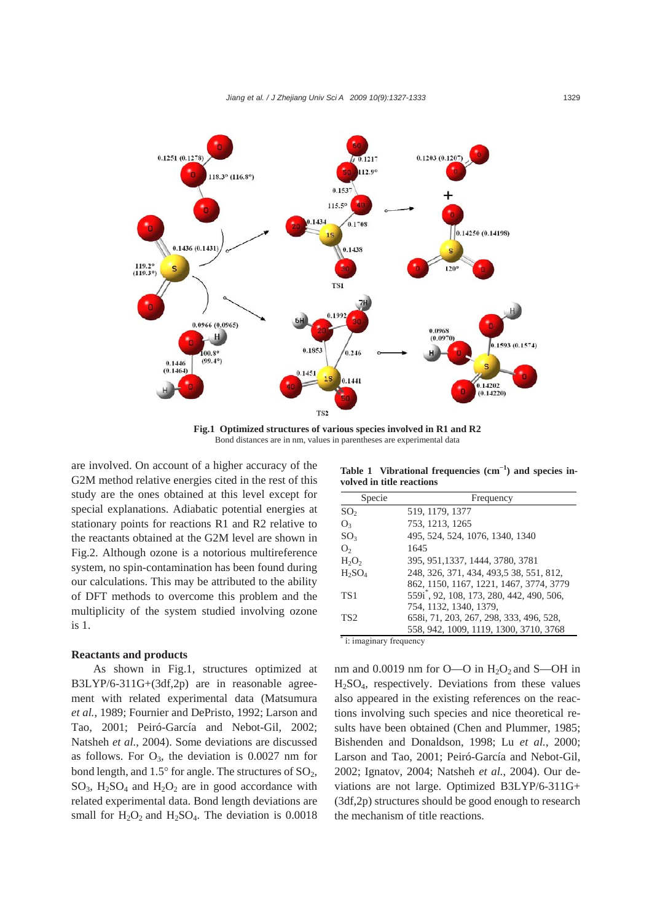

**Fig.1 Optimized structures of various species involved in R1 and R2**  Bond distances are in nm, values in parentheses are experimental data

are involved. On account of a higher accuracy of the G2M method relative energies cited in the rest of this study are the ones obtained at this level except for special explanations. Adiabatic potential energies at stationary points for reactions R1 and R2 relative to the reactants obtained at the G2M level are shown in Fig.2. Although ozone is a notorious multireference system, no spin-contamination has been found during our calculations. This may be attributed to the ability of DFT methods to overcome this problem and the multiplicity of the system studied involving ozone is 1.

### **Reactants and products**

As shown in Fig.1, structures optimized at B3LYP/6-311G+(3df,2p) are in reasonable agreement with related experimental data (Matsumura *et al.*, 1989; Fournier and DePristo, 1992; Larson and Tao, 2001; Peiró-García and Nebot-Gil, 2002; Natsheh *et al.*, 2004). Some deviations are discussed as follows. For  $O_3$ , the deviation is 0.0027 nm for bond length, and  $1.5^{\circ}$  for angle. The structures of  $SO_2$ ,  $SO_3$ , H<sub>2</sub>SO<sub>4</sub> and H<sub>2</sub>O<sub>2</sub> are in good accordance with related experimental data. Bond length deviations are small for  $H_2O_2$  and  $H_2SO_4$ . The deviation is 0.0018

**Table 1 Vibrational frequencies (cm<sup>−</sup><sup>1</sup> ) and species involved in title reactions**

| Specie                 | Frequency                                             |
|------------------------|-------------------------------------------------------|
| SO <sub>2</sub>        | 519, 1179, 1377                                       |
| O <sub>3</sub>         | 753, 1213, 1265                                       |
| SO <sub>3</sub>        | 495, 524, 524, 1076, 1340, 1340                       |
| O <sub>2</sub>         | 1645                                                  |
| $H_2O_2$               | 395, 951, 1337, 1444, 3780, 3781                      |
| $H_2SO_4$              | 248, 326, 371, 434, 493, 538, 551, 812,               |
|                        | 862, 1150, 1167, 1221, 1467, 3774, 3779               |
| TS <sub>1</sub>        | 559i <sup>*</sup> , 92, 108, 173, 280, 442, 490, 506, |
|                        | 754, 1132, 1340, 1379,                                |
| TS <sub>2</sub>        | 658i, 71, 203, 267, 298, 333, 496, 528,               |
|                        | 558, 942, 1009, 1119, 1300, 3710, 3768                |
| i: imaginary frequency |                                                       |

nm and 0.0019 nm for  $O$ —O in  $H_2O_2$  and S—OH in H2SO4, respectively. Deviations from these values also appeared in the existing references on the reactions involving such species and nice theoretical results have been obtained (Chen and Plummer, 1985; Bishenden and Donaldson, 1998; Lu *et al.*, 2000; Larson and Tao, 2001; Peiró-García and Nebot-Gil, 2002; Ignatov, 2004; Natsheh *et al.*, 2004). Our deviations are not large. Optimized B3LYP/6-311G+ (3df,2p) structures should be good enough to research the mechanism of title reactions.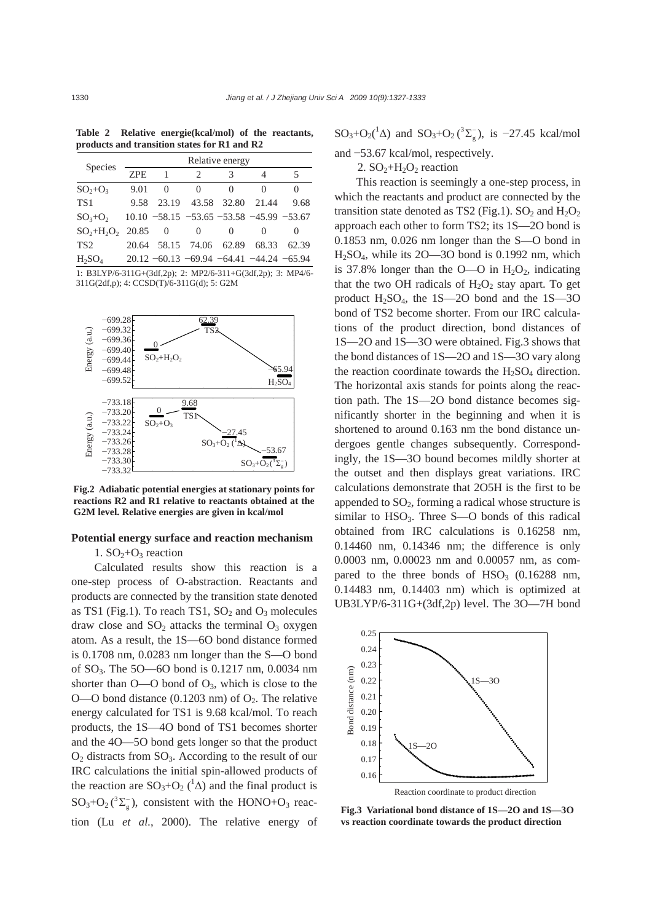**Table 2 Relative energie(kcal/mol) of the reactants, products and transition states for R1 and R2**

| <b>Species</b>      | Relative energy |                |                                            |                   |                   |                   |
|---------------------|-----------------|----------------|--------------------------------------------|-------------------|-------------------|-------------------|
|                     | ZPE             | 1              | $\mathcal{D}_{\mathcal{L}}$                | 3                 | 4                 | 5                 |
| $SO2+O3$            | 9.01            | 0              | 0                                          | $\mathbf{\Omega}$ | $\mathbf{\Omega}$ | $\mathbf{\Omega}$ |
| TS <sub>1</sub>     | 9.58            |                | 23.19 43.58 32.80                          |                   | 21.44             | 9.68              |
| $SO3+O2$            |                 |                | $10.10 -58.15 -53.65 -53.58 -45.99 -53.67$ |                   |                   |                   |
| $SO_2+H_2O_2$ 20.85 |                 | $\overline{0}$ | 0                                          | 0                 |                   | $\mathbf{0}$      |
| TS <sub>2</sub>     |                 |                | 20.64 58.15 74.06                          | 62.89             | 68.33             | 62.39             |
| $H_2SO_4$           |                 |                | $20.12 -60.13 -69.94 -64.41 -44.24 -65.94$ |                   |                   |                   |

1: B3LYP/6-311G+(3df,2p); 2: MP2/6-311+G(3df,2p); 3: MP4/6- 311G(2df,p); 4: CCSD(T)/6-311G(d); 5: G2M



**Fig.2 Adiabatic potential energies at stationary points for reactions R2 and R1 relative to reactants obtained at the G2M level. Relative energies are given in kcal/mol** 

# **Potential energy surface and reaction mechanism**

1.  $SO_2+O_3$  reaction

Calculated results show this reaction is a one-step process of O-abstraction. Reactants and products are connected by the transition state denoted as TS1 (Fig.1). To reach TS1,  $SO_2$  and  $O_3$  molecules draw close and  $SO_2$  attacks the terminal  $O_3$  oxygen atom. As a result, the 1S—6O bond distance formed is 0.1708 nm, 0.0283 nm longer than the S—O bond of  $SO_3$ . The  $5O$ —60 bond is 0.1217 nm, 0.0034 nm shorter than  $O$ —O bond of  $O_3$ , which is close to the O—O bond distance  $(0.1203 \text{ nm})$  of  $O_2$ . The relative energy calculated for TS1 is 9.68 kcal/mol. To reach products, the 1S—4O bond of TS1 becomes shorter and the 4O—5O bond gets longer so that the product  $O<sub>2</sub>$  distracts from SO<sub>3</sub>. According to the result of our IRC calculations the initial spin-allowed products of the reaction are  $SO_3+O_2$  ( ${}^1\Delta$ ) and the final product is  $SO_3+O_2(^{3}\Sigma_g)$ , consistent with the HONO+O<sub>3</sub> reaction (Lu *et al.*, 2000). The relative energy of

 $SO_3+O_2(^1\Delta)$  and  $SO_3+O_2(^3\Sigma_g^-)$ , is -27.45 kcal/mol

and −53.67 kcal/mol, respectively.

2.  $SO_2+H_2O_2$  reaction

This reaction is seemingly a one-step process, in which the reactants and product are connected by the transition state denoted as TS2 (Fig.1). SO<sub>2</sub> and  $H_2O_2$ approach each other to form TS2; its 1S—2O bond is 0.1853 nm, 0.026 nm longer than the S—O bond in H2SO4, while its 2O—3O bond is 0.1992 nm, which is 37.8% longer than the O—O in  $H_2O_2$ , indicating that the two OH radicals of  $H_2O_2$  stay apart. To get product  $H_2SO_4$ , the 1S—2O bond and the 1S—3O bond of TS2 become shorter. From our IRC calculations of the product direction, bond distances of 1S—2O and 1S—3O were obtained. Fig.3 shows that the bond distances of 1S—2O and 1S—3O vary along the reaction coordinate towards the  $H_2SO_4$  direction. The horizontal axis stands for points along the reaction path. The 1S—2O bond distance becomes significantly shorter in the beginning and when it is shortened to around 0.163 nm the bond distance undergoes gentle changes subsequently. Correspondingly, the 1S—3O bound becomes mildly shorter at the outset and then displays great variations. IRC calculations demonstrate that 2O5H is the first to be appended to  $SO<sub>2</sub>$ , forming a radical whose structure is similar to  $HSO<sub>3</sub>$ . Three S—O bonds of this radical obtained from IRC calculations is 0.16258 nm, 0.14460 nm, 0.14346 nm; the difference is only 0.0003 nm, 0.00023 nm and 0.00057 nm, as compared to the three bonds of  $HSO<sub>3</sub>$  (0.16288 nm, 0.14483 nm, 0.14403 nm) which is optimized at UB3LYP/6-311G+(3df,2p) level. The 3O—7H bond



**Fig.3 Variational bond distance of 1S—2O and 1S—3O vs reaction coordinate towards the product direction**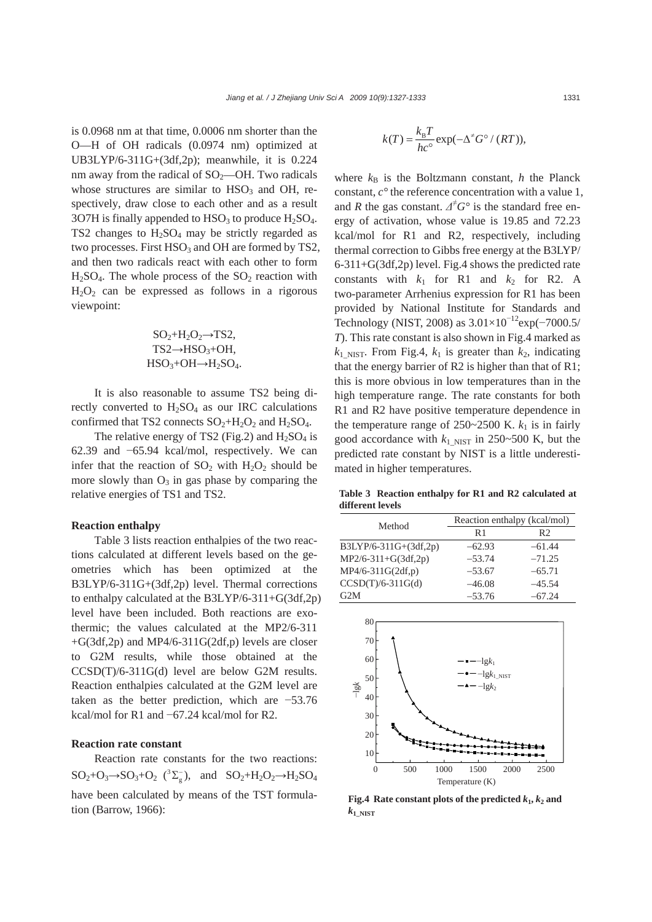is 0.0968 nm at that time, 0.0006 nm shorter than the O—H of OH radicals (0.0974 nm) optimized at UB3LYP/6-311G+(3df,2p); meanwhile, it is 0.224 nm away from the radical of  $SO<sub>2</sub>$ —OH. Two radicals whose structures are similar to  $HSO<sub>3</sub>$  and OH, respectively, draw close to each other and as a result 3O7H is finally appended to  $HSO<sub>3</sub>$  to produce  $H<sub>2</sub>SO<sub>4</sub>$ . TS2 changes to  $H_2SO_4$  may be strictly regarded as two processes. First  $HSO_3$  and OH are formed by TS2, and then two radicals react with each other to form  $H<sub>2</sub>SO<sub>4</sub>$ . The whole process of the  $SO<sub>2</sub>$  reaction with  $H<sub>2</sub>O<sub>2</sub>$  can be expressed as follows in a rigorous viewpoint:

$$
SO_2+H_2O_2 \rightarrow TS2, \nTS2 \rightarrow HSO_3+OH, \nHSO_3+OH \rightarrow H_2SO_4.
$$

It is also reasonable to assume TS2 being directly converted to  $H_2SO_4$  as our IRC calculations confirmed that TS2 connects  $SO_2+H_2O_2$  and  $H_2SO_4$ .

The relative energy of TS2 (Fig.2) and  $H<sub>2</sub>SO<sub>4</sub>$  is 62.39 and −65.94 kcal/mol, respectively. We can infer that the reaction of  $SO_2$  with  $H_2O_2$  should be more slowly than  $O_3$  in gas phase by comparing the relative energies of TS1 and TS2.

### **Reaction enthalpy**

Table 3 lists reaction enthalpies of the two reactions calculated at different levels based on the geometries which has been optimized at the B3LYP/6-311G+(3df,2p) level. Thermal corrections to enthalpy calculated at the B3LYP/6-311+G(3df,2p) level have been included. Both reactions are exothermic; the values calculated at the MP2/6-311  $+G(3df,2p)$  and MP4/6-311G(2df,p) levels are closer to G2M results, while those obtained at the CCSD(T)/6-311G(d) level are below G2M results. Reaction enthalpies calculated at the G2M level are taken as the better prediction, which are −53.76 kcal/mol for R1 and −67.24 kcal/mol for R2.

# **Reaction rate constant**

Reaction rate constants for the two reactions:  $SO_2+O_3 \rightarrow SO_3+O_2$  (<sup>3</sup> $\Sigma_g^-$ ), and  $SO_2+H_2O_2 \rightarrow H_2SO_4$ have been calculated by means of the TST formulation (Barrow, 1966):

$$
k(T) = \frac{k_{\rm B}T}{hc^{\circ}} \exp(-\Delta^{\neq} G^{\circ} / (RT)),
$$

where  $k_B$  is the Boltzmann constant, *h* the Planck constant, *c°* the reference concentration with a value 1, and *R* the gas constant.  $\Delta^{\neq} G^{\circ}$  is the standard free energy of activation, whose value is 19.85 and 72.23 kcal/mol for R1 and R2, respectively, including thermal correction to Gibbs free energy at the B3LYP/ 6-311+G(3df,2p) level. Fig.4 shows the predicted rate constants with  $k_1$  for R1 and  $k_2$  for R2. A two-parameter Arrhenius expression for R1 has been provided by National Institute for Standards and Technology (NIST, 2008) as  $3.01\times10^{-12}$ exp(-7000.5/ *T*). This rate constant is also shown in Fig.4 marked as  $k_1$ <sub>NIST</sub>. From Fig.4,  $k_1$  is greater than  $k_2$ , indicating that the energy barrier of R2 is higher than that of R1; this is more obvious in low temperatures than in the high temperature range. The rate constants for both R1 and R2 have positive temperature dependence in the temperature range of  $250~2500$  K.  $k_1$  is in fairly good accordance with  $k_{1\text{ NIST}}$  in 250~500 K, but the predicted rate constant by NIST is a little underestimated in higher temperatures.

**Table 3 Reaction enthalpy for R1 and R2 calculated at different levels**

| Method                | Reaction enthalpy (kcal/mol) |                |  |  |
|-----------------------|------------------------------|----------------|--|--|
|                       | R <sub>1</sub>               | R <sub>2</sub> |  |  |
| B3LYP/6-311G+(3df,2p) | $-62.93$                     | $-61.44$       |  |  |
| MP2/6-311+G(3df,2p)   | $-53.74$                     | $-71.25$       |  |  |
| MP4/6-311G(2df,p)     | $-53.67$                     | $-65.71$       |  |  |
| $CCSD(T)/6-311G(d)$   | $-46.08$                     | $-45.54$       |  |  |
| G2M                   | $-53.76$                     | $-67.24$       |  |  |



**Fig.4** Rate constant plots of the predicted  $k_1, k_2$  and  $k_1$  NIST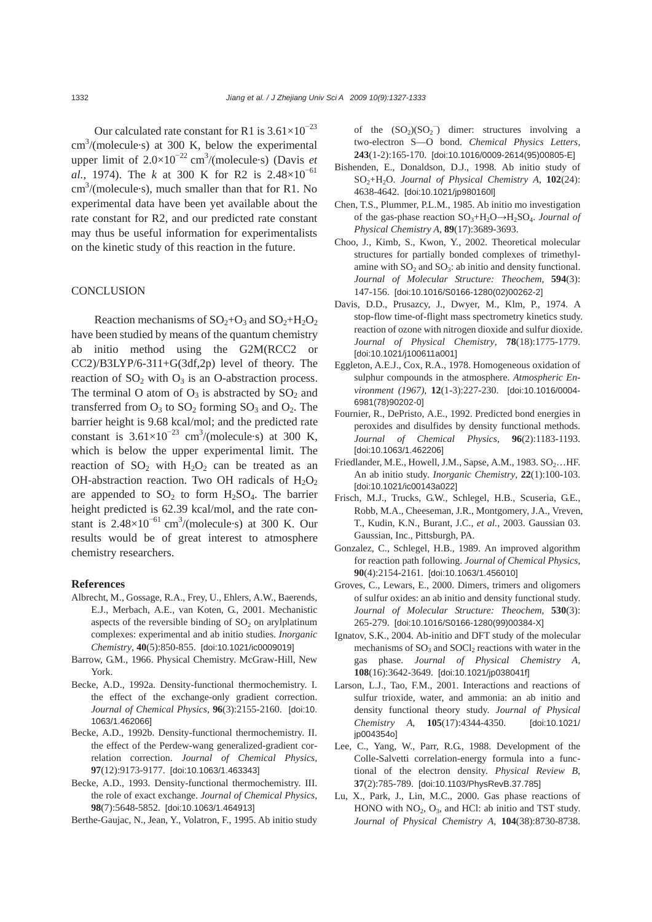Our calculated rate constant for R1 is  $3.61\times10^{-23}$  $\text{cm}^3/\text{(molecule·s)}$  at 300 K, below the experimental upper limit of  $2.0 \times 10^{-22}$  cm<sup>3</sup>/(molecule·s) (Davis *et al.*, 1974). The *k* at 300 K for R2 is  $2.48 \times 10^{-61}$ cm 3 /(molecule·s), much smaller than that for R1. No experimental data have been yet available about the rate constant for R2, and our predicted rate constant may thus be useful information for experimentalists on the kinetic study of this reaction in the future.

### **CONCLUSION**

Reaction mechanisms of  $SO_2+O_3$  and  $SO_2+H_2O_2$ have been studied by means of the quantum chemistry ab initio method using the G2M(RCC2 or CC2)/B3LYP/6-311+G(3df,2p) level of theory. The reaction of  $SO_2$  with  $O_3$  is an O-abstraction process. The terminal O atom of  $O_3$  is abstracted by  $SO_2$  and transferred from  $O_3$  to  $SO_2$  forming  $SO_3$  and  $O_2$ . The barrier height is 9.68 kcal/mol; and the predicted rate constant is  $3.61 \times 10^{-23}$  cm<sup>3</sup>/(molecule·s) at 300 K, which is below the upper experimental limit. The reaction of  $SO_2$  with  $H_2O_2$  can be treated as an OH-abstraction reaction. Two OH radicals of  $H_2O_2$ are appended to  $SO_2$  to form  $H_2SO_4$ . The barrier height predicted is 62.39 kcal/mol, and the rate constant is  $2.48 \times 10^{-61}$  cm<sup>3</sup>/(molecule·s) at 300 K. Our results would be of great interest to atmosphere chemistry researchers.

#### **References**

- Albrecht, M., Gossage, R.A., Frey, U., Ehlers, A.W., Baerends, E.J., Merbach, A.E., van Koten, G., 2001. Mechanistic aspects of the reversible binding of  $SO<sub>2</sub>$  on arylplatinum complexes: experimental and ab initio studies. *Inorganic Chemistry*, **40**(5):850-855. [doi:10.1021/ic0009019]
- Barrow, G.M., 1966. Physical Chemistry. McGraw-Hill, New York.
- Becke, A.D., 1992a. Density-functional thermochemistry. I. the effect of the exchange-only gradient correction. *Journal of Chemical Physics*, **96**(3):2155-2160. [doi:10. 1063/1.462066]
- Becke, A.D., 1992b. Density-functional thermochemistry. II. the effect of the Perdew-wang generalized-gradient correlation correction. *Journal of Chemical Physics*, **97**(12):9173-9177. [doi:10.1063/1.463343]
- Becke, A.D., 1993. Density-functional thermochemistry. III. the role of exact exchange. *Journal of Chemical Physics*, **98**(7):5648-5852. [doi:10.1063/1.464913]
- Berthe-Gaujac, N., Jean, Y., Volatron, F., 1995. Ab initio study

of the  $(SO_2)(SO_2^-)$  dimer: structures involving a two-electron S—O bond. *Chemical Physics Letters*, **243**(1-2):165-170. [doi:10.1016/0009-2614(95)00805-E]

- Bishenden, E., Donaldson, D.J., 1998. Ab initio study of SO2+H2O. *Journal of Physical Chemistry A*, **102**(24): 4638-4642. [doi:10.1021/jp980160l]
- Chen, T.S., Plummer, P.L.M., 1985. Ab initio mo investigation of the gas-phase reaction  $SO_3+H_2O \rightarrow H_2SO_4$ . *Journal of Physical Chemistry A*, **89**(17):3689-3693.
- Choo, J., Kimb, S., Kwon, Y., 2002. Theoretical molecular structures for partially bonded complexes of trimethylamine with  $SO_2$  and  $SO_3$ : ab initio and density functional. *Journal of Molecular Structure: Theochem*, **594**(3): 147-156. [doi:10.1016/S0166-1280(02)00262-2]
- Davis, D.D., Prusazcy, J., Dwyer, M., Klm, P., 1974. A stop-flow time-of-flight mass spectrometry kinetics study. reaction of ozone with nitrogen dioxide and sulfur dioxide. *Journal of Physical Chemistry*, **78**(18):1775-1779. [doi:10.1021/j100611a001]
- Eggleton, A.E.J., Cox, R.A., 1978. Homogeneous oxidation of sulphur compounds in the atmosphere. *Atmospheric Environment (1967)*, **12**(1-3):227-230. [doi:10.1016/0004- 6981(78)90202-0]
- Fournier, R., DePristo, A.E., 1992. Predicted bond energies in peroxides and disulfides by density functional methods. *Journal of Chemical Physics*, **96**(2):1183-1193. [doi:10.1063/1.462206]
- Friedlander, M.E., Howell, J.M., Sapse, A.M., 1983.  $SO_2$ ...HF. An ab initio study. *Inorganic Chemistry*, **22**(1):100-103. [doi:10.1021/ic00143a022]
- Frisch, M.J., Trucks, G.W., Schlegel, H.B., Scuseria, G.E., Robb, M.A., Cheeseman, J.R., Montgomery, J.A., Vreven, T., Kudin, K.N., Burant, J.C., *et al.*, 2003. Gaussian 03. Gaussian, Inc., Pittsburgh, PA.
- Gonzalez, C., Schlegel, H.B., 1989. An improved algorithm for reaction path following. *Journal of Chemical Physics*, **90**(4):2154-2161. [doi:10.1063/1.456010]
- Groves, C., Lewars, E., 2000. Dimers, trimers and oligomers of sulfur oxides: an ab initio and density functional study. *Journal of Molecular Structure: Theochem*, **530**(3): 265-279. [doi:10.1016/S0166-1280(99)00384-X]
- Ignatov, S.K., 2004. Ab-initio and DFT study of the molecular mechanisms of  $SO_3$  and  $SOCl_2$  reactions with water in the gas phase. *Journal of Physical Chemistry A*, **108**(16):3642-3649. [doi:10.1021/jp038041f]
- Larson, L.J., Tao, F.M., 2001. Interactions and reactions of sulfur trioxide, water, and ammonia: an ab initio and density functional theory study. *Journal of Physical Chemistry A*, **105**(17):4344-4350. [doi:10.1021/ jp004354o]
- Lee, C., Yang, W., Parr, R.G., 1988. Development of the Colle-Salvetti correlation-energy formula into a functional of the electron density. *Physical Review B*, **37**(2):785-789. [doi:10.1103/PhysRevB.37.785]
- Lu, X., Park, J., Lin, M.C., 2000. Gas phase reactions of HONO with  $NO<sub>2</sub>$ ,  $O<sub>3</sub>$ , and HCl: ab initio and TST study. *Journal of Physical Chemistry A*, **104**(38):8730-8738.